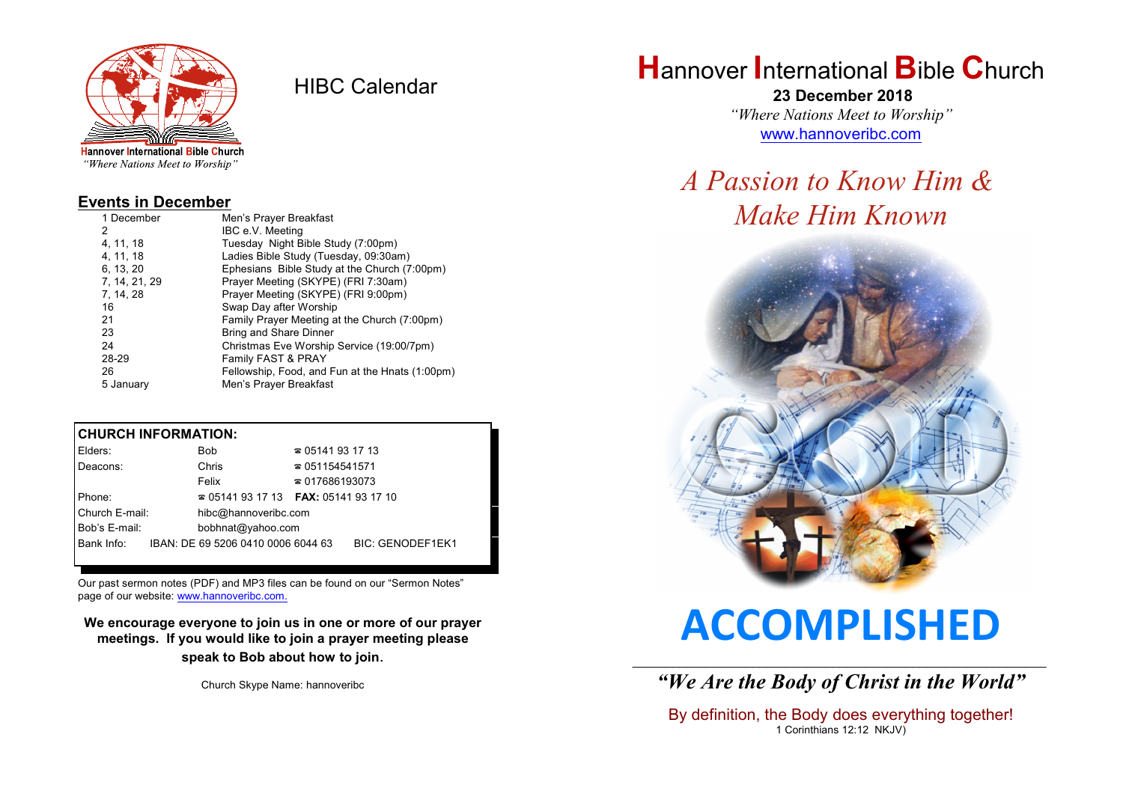

HIBC Calendar

**Hannover International Bible Church** "Where Nations Meet to Worship"

#### **Events in December**

| 1 December    | Men's Prayer Breakfast                          |  |  |
|---------------|-------------------------------------------------|--|--|
| 2             | IBC e.V. Meeting                                |  |  |
| 4, 11, 18     | Tuesday Night Bible Study (7:00pm)              |  |  |
| 4.11.18       | Ladies Bible Study (Tuesday, 09:30am)           |  |  |
| 6, 13, 20     | Ephesians Bible Study at the Church (7:00pm)    |  |  |
| 7, 14, 21, 29 | Prayer Meeting (SKYPE) (FRI 7:30am)             |  |  |
| 7, 14, 28     | Prayer Meeting (SKYPE) (FRI 9:00pm)             |  |  |
| 16            | Swap Day after Worship                          |  |  |
| 21            | Family Prayer Meeting at the Church (7:00pm)    |  |  |
| 23            | <b>Bring and Share Dinner</b>                   |  |  |
| 24            | Christmas Eve Worship Service (19:00/7pm)       |  |  |
| 28-29         | Family FAST & PRAY                              |  |  |
| 26            | Fellowship, Food, and Fun at the Hnats (1:00pm) |  |  |
| 5 January     | Men's Prayer Breakfast                          |  |  |

#### **CHURCH INFORMATION:**

| Elders:        | <b>Bob</b>                               | $\approx 05141931713$  |                         |  |
|----------------|------------------------------------------|------------------------|-------------------------|--|
| Deacons:       | Chris                                    | $\approx 051154541571$ |                         |  |
|                | Felix                                    | $\approx 017686193073$ |                         |  |
| Phone:         | $\approx 05141931713$ FAX: 0514193 17 10 |                        |                         |  |
| Church E-mail: | hibc@hannoveribc.com                     |                        |                         |  |
| Bob's E-mail:  | bobhnat@yahoo.com                        |                        |                         |  |
| Bank Info:     | IBAN: DE 69 5206 0410 0006 6044 63       |                        | <b>BIC: GENODEF1EK1</b> |  |
|                |                                          |                        |                         |  |

Our past sermon notes (PDF) and MP3 files can be found on our "Sermon Notes" page of our website: [www.hannoveribc.com.](http://www.hannoveribc.com.)

**We encourage everyone to join us in one or more of our prayer meetings. If you would like to join a prayer meeting please speak to Bob about how to join**.

Church Skype Name: hannoveribc

## **H**annover **I**nternational **B**ible **C**hurch

 **23 December 2018** *"Where Nations Meet to Worship"* [www.hannoveribc.com](http://www.hannoveribc.com)

## *A Passion to Know Him & Make Him Known*



# **ACCOMPLISHED**

\_\_\_\_\_\_\_\_\_\_\_\_\_\_\_\_\_\_\_\_\_\_\_\_\_\_\_\_\_\_\_\_\_\_\_\_\_\_\_\_\_\_\_\_\_\_\_\_\_\_\_\_\_\_\_\_\_\_\_\_\_\_ *"We Are the Body of Christ in the World"*

By definition, the Body does everything together! 1 Corinthians 12:12 NKJV)